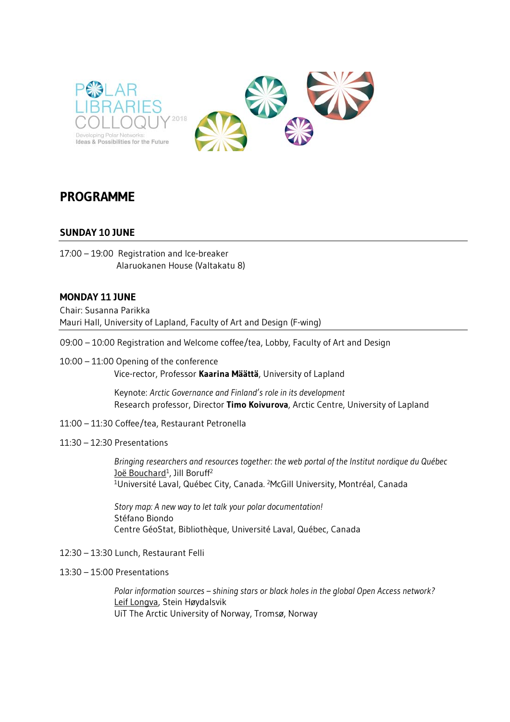



# **PROGRAMME**

## **SUNDAY 10 JUNE**

17:00 – 19:00 Registration and Ice-breaker Alaruokanen House (Valtakatu 8)

#### **MONDAY 11 JUNE**

Chair: Susanna Parikka Mauri Hall, University of Lapland, Faculty of Art and Design (F-wing)

- 09:00 10:00 Registration and Welcome coffee/tea, Lobby, Faculty of Art and Design
- 10:00 11:00 Opening of the conference Vice-rector, Professor **Kaarina Määttä**, University of Lapland

 Keynote: *Arctic Governance and Finland's role in its development* Research professor, Director **Timo Koivurova**, Arctic Centre, University of Lapland

11:00 – 11:30 Coffee/tea, Restaurant Petronella

#### 11:30 – 12:30 Presentations

*Bringing researchers and resources together: the web portal of the Institut nordique du Québec*  Joë Bouchard<sup>1</sup>, Jill Boruff<sup>2</sup><br><sup>1</sup>Université Laval, Québec City, Canada. <sup>2</sup>McGill University, Montréal, Canada

*Story map: A new way to let talk your polar documentation!*  Stéfano Biondo Centre GéoStat, Bibliothèque, Université Laval, Québec, Canada

- 12:30 13:30 Lunch, Restaurant Felli
- 13:30 15:00 Presentations

*Polar information sources – shining stars or black holes in the global Open Access network?*  Leif Longva, Stein Høydalsvik UiT The Arctic University of Norway, Tromsø, Norway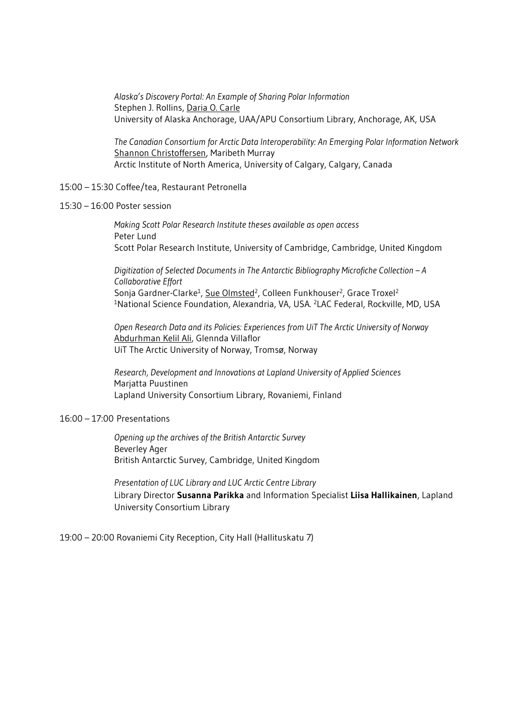*Alaska's Discovery Portal: An Example of Sharing Polar Information*  Stephen J. Rollins, Daria O. Carle University of Alaska Anchorage, UAA/APU Consortium Library, Anchorage, AK, USA

*The Canadian Consortium for Arctic Data Interoperability: An Emerging Polar Information Network*  Shannon Christoffersen, Maribeth Murray Arctic Institute of North America, University of Calgary, Calgary, Canada

- 15:00 15:30 Coffee/tea, Restaurant Petronella
- 15:30 16:00 Poster session

*Making Scott Polar Research Institute theses available as open access*  Peter Lund Scott Polar Research Institute, University of Cambridge, Cambridge, United Kingdom

*Digitization of Selected Documents in The Antarctic Bibliography Microfiche Collection – A Collaborative Effort*  Sonja Gardner-Clarke<sup>1</sup>, Sue Olmsted<sup>2</sup>, Colleen Funkhouser<sup>2</sup>, Grace Troxel<sup>2</sup><br><sup>1</sup>National Science Foundation, Alexandria, VA, USA. <sup>2</sup>LAC Federal, Rockville, MD, USA

*Open Research Data and its Policies: Experiences from UiT The Arctic University of Norway*  Abdurhman Kelil Ali, Glennda Villaflor UiT The Arctic University of Norway, Tromsø, Norway

*Research, Development and Innovations at Lapland University of Applied Sciences* Marjatta Puustinen Lapland University Consortium Library, Rovaniemi, Finland

#### 16:00 – 17:00 Presentations

*Opening up the archives of the British Antarctic Survey*  Beverley Ager British Antarctic Survey, Cambridge, United Kingdom

*Presentation of LUC Library and LUC Arctic Centre Library*  Library Director **Susanna Parikka** and Information Specialist **Liisa Hallikainen**, Lapland University Consortium Library

19:00 – 20:00 Rovaniemi City Reception, City Hall (Hallituskatu 7)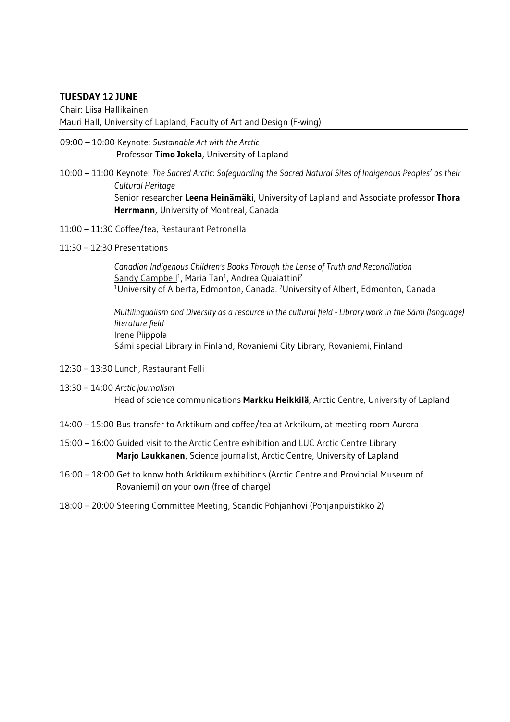## **TUESDAY 12 JUNE**

Chair: Liisa Hallikainen Mauri Hall, University of Lapland, Faculty of Art and Design (F-wing)

- 09:00 10:00 Keynote: *Sustainable Art with the Arctic* Professor **Timo Jokela**, University of Lapland
- 10:00 11:00 Keynote: *The Sacred Arctic: Safeguarding the Sacred Natural Sites of Indigenous Peoples' as their Cultural Heritage*  Senior researcher **Leena Heinämäki**, University of Lapland and Associate professor **Thora Herrmann**, University of Montreal, Canada
- 11:00 11:30 Coffee/tea, Restaurant Petronella
- 11:30 12:30 Presentations

*Canadian Indigenous Children's Books Through the Lense of Truth and Reconciliation*  Sandy Campbell<sup>1</sup>, Maria Tan<sup>1</sup>, Andrea Quaiattini<sup>2</sup><br><sup>1</sup>University of Alberta, Edmonton, Canada. <sup>2</sup>University of Albert, Edmonton, Canada

*Multilingualism and Diversity as a resource in the cultural field - Library work in the Sámi (language) literature field*  Irene Piippola Sámi special Library in Finland, Rovaniemi City Library, Rovaniemi, Finland

- 12:30 13:30 Lunch, Restaurant Felli
- 13:30 14:00 *Arctic journalism* Head of science communications **Markku Heikkilä**, Arctic Centre, University of Lapland
- 14:00 15:00 Bus transfer to Arktikum and coffee/tea at Arktikum, at meeting room Aurora
- 15:00 16:00 Guided visit to the Arctic Centre exhibition and LUC Arctic Centre Library  **Marjo Laukkanen**, Science journalist, Arctic Centre, University of Lapland
- 16:00 18:00 Get to know both Arktikum exhibitions (Arctic Centre and Provincial Museum of Rovaniemi) on your own (free of charge)
- 18:00 20:00 Steering Committee Meeting, Scandic Pohjanhovi (Pohjanpuistikko 2)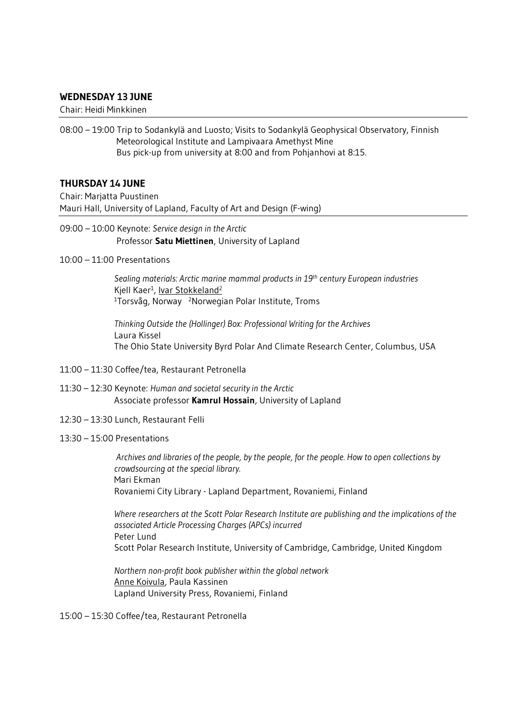#### **WEDNESDAY 13 JUNE**

Chair: Heidi Minkkinen

08:00 – 19:00 Trip to Sodankylä and Luosto; Visits to Sodankylä Geophysical Observatory, Finnish Meteorological Institute and Lampivaara Amethyst Mine Bus pick-up from university at 8:00 and from Pohjanhovi at 8:15.

#### **THURSDAY 14 JUNE**

Chair: Marjatta Puustinen Mauri Hall, University of Lapland, Faculty of Art and Design (F-wing)

09:00 – 10:00 Keynote: *Service design in the Arctic* Professor **Satu Miettinen**, University of Lapland

10:00 – 11:00 Presentations

*Sealing materials: Arctic marine mammal products in 19th century European industries*  Kjell Kaer<sup>1</sup>, <u>Ivar Stokkeland<sup>2</sup></u><br><sup>1</sup>Torsvåg, Norway <sup>2</sup>Norwegian Polar Institute, Troms

*Thinking Outside the (Hollinger) Box: Professional Writing for the Archives*  Laura Kissel The Ohio State University Byrd Polar And Climate Research Center, Columbus, USA

- 11:00 11:30 Coffee/tea, Restaurant Petronella
- 11:30 12:30 Keynote: *Human and societal security in the Arctic* Associate professor **Kamrul Hossain**, University of Lapland
- 12:30 13:30 Lunch, Restaurant Felli
- 13:30 15:00 Presentations

 *Archives and libraries of the people, by the people, for the people. How to open collections by crowdsourcing at the special library.*  Mari Ekman Rovaniemi City Library - Lapland Department, Rovaniemi, Finland

*Where researchers at the Scott Polar Research Institute are publishing and the implications of the associated Article Processing Charges (APCs) incurred*  Peter Lund Scott Polar Research Institute, University of Cambridge, Cambridge, United Kingdom

*Northern non-profit book publisher within the global network*  Anne Koivula, Paula Kassinen Lapland University Press, Rovaniemi, Finland

15:00 – 15:30 Coffee/tea, Restaurant Petronella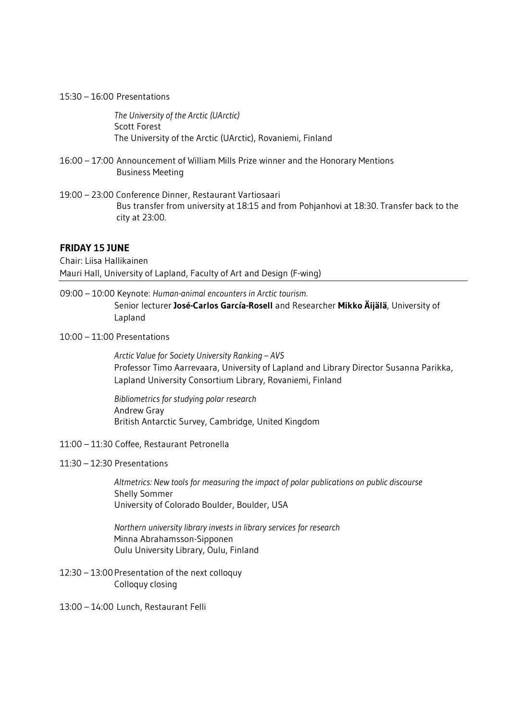#### 15:30 – 16:00 Presentations

*The University of the Arctic (UArctic)*  Scott Forest The University of the Arctic (UArctic), Rovaniemi, Finland

- 16:00 17:00 Announcement of William Mills Prize winner and the Honorary Mentions Business Meeting
- 19:00 23:00 Conference Dinner, Restaurant Vartiosaari Bus transfer from university at 18:15 and from Pohjanhovi at 18:30. Transfer back to the city at 23:00.

#### **FRIDAY 15 JUNE**

Chair: Liisa Hallikainen Mauri Hall, University of Lapland, Faculty of Art and Design (F-wing)

- 09:00 10:00 Keynote: *Human-animal encounters in Arctic tourism.*  Senior lecturer **José-Carlos García-Rosell** and Researcher **Mikko Äijälä**, University of Lapland
- 10:00 11:00 Presentations

*Arctic Value for Society University Ranking – AVS*  Professor Timo Aarrevaara, University of Lapland and Library Director Susanna Parikka, Lapland University Consortium Library, Rovaniemi, Finland

*Bibliometrics for studying polar research*  Andrew Gray British Antarctic Survey, Cambridge, United Kingdom

- 11:00 11:30 Coffee, Restaurant Petronella
- 11:30 12:30 Presentations

*Altmetrics: New tools for measuring the impact of polar publications on public discourse*  Shelly Sommer University of Colorado Boulder, Boulder, USA

*Northern university library invests in library services for research* Minna Abrahamsson-Sipponen Oulu University Library, Oulu, Finland

12:30 – 13:00 Presentation of the next colloquy Colloquy closing

13:00 – 14:00 Lunch, Restaurant Felli